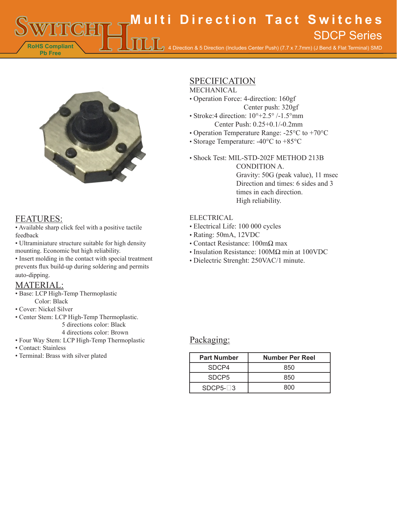**RoHS Compliant Multi Direction Tact Switches** 4 Direction & 5 Direction (Includes Center Push) (7.7 x 7.7mm) (J Bend & Flat Terminal) SMD SDCP Series



## FEATURES:

**Pb Free**

• Available sharp click feel with a positive tactile feedback

• Ultraminiature structure suitable for high density mounting. Economic but high reliability.

• Insert molding in the contact with special treatment prevents flux build-up during soldering and permits auto-dipping.

## MATERIAL:

- Base: LCP High-Temp Thermoplastic Color: Black
- Cover: Nickel Silver
- Center Stem: LCP High-Temp Thermoplastic. 5 directions color: Black

4 directions color: Brown

- Four Way Stem: LCP High-Temp Thermoplastic
- Contact: Stainless
- Terminal: Brass with silver plated

# **SPECIFICATION**

## MECHANICAL

- Operation Force: 4-direction: 160gf Center push: 320gf
- Stroke:4 direction:  $10^{\circ}$ +2.5° /-1.5°mm Center Push: 0.25+0.1/-0.2mm
- Operation Temperature Range: -25°C to +70°C
- Storage Temperature: -40°C to +85°C
- Shock Test: MIL-STD-202F METHOD 213B CONDITION A. Gravity: 50G (peak value), 11 msec Direction and times: 6 sides and 3 times in each direction. High reliability.

#### ELECTRICAL

- Electrical Life: 100 000 cycles
- Rating: 50mA, 12VDC
- Contact Resistance: 100mΩ max
- Insulation Resistance: 100MΩ min at 100VDC
- Dielectric Strenght: 250VAC/1 minute.

#### Packaging:

| <b>Part Number</b> | <b>Number Per Reel</b> |
|--------------------|------------------------|
| SDCP4              | 850                    |
| SDCP <sub>5</sub>  | 850                    |
| $SDCP5-13$         | 800                    |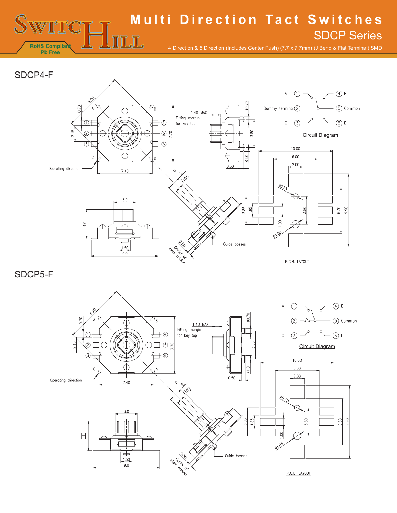# **Multi Direction Tact Switches**

**RoHS Complian Pb Free**

4 Direction & 5 Direction (Includes Center Push) (7.7 x 7.7mm) (J Bend & Flat Terminal) SMD

SDCP Series

# SDCP4-F



 $\mathbb{H}$  .

SDCP5-F

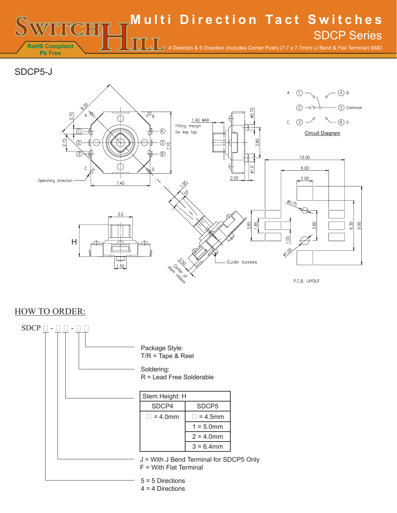**RoHS Compliant Pb Free Multi Direction Tact Switches** 4 Direction & 5 Direction (Includes Center Push) (7.7 x 7.7mm) (J Bend & Flat Terminal) SMD SDCP Series

SDCP5-J



# HOW TO ORDER: